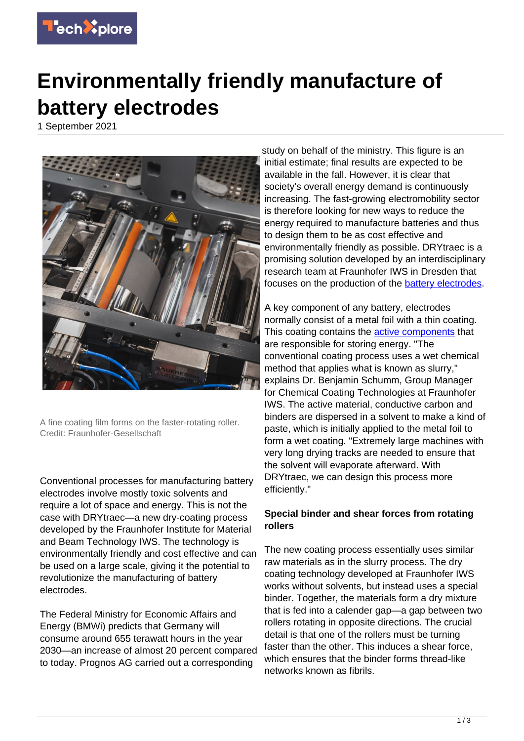

## **Environmentally friendly manufacture of battery electrodes**

1 September 2021



A fine coating film forms on the faster-rotating roller. Credit: Fraunhofer-Gesellschaft

Conventional processes for manufacturing battery electrodes involve mostly toxic solvents and require a lot of space and energy. This is not the case with DRYtraec—a new dry-coating process developed by the Fraunhofer Institute for Material and Beam Technology IWS. The technology is environmentally friendly and cost effective and can be used on a large scale, giving it the potential to revolutionize the manufacturing of battery electrodes.

The Federal Ministry for Economic Affairs and Energy (BMWi) predicts that Germany will consume around 655 terawatt hours in the year 2030—an increase of almost 20 percent compared to today. Prognos AG carried out a corresponding

study on behalf of the ministry. This figure is an initial estimate; final results are expected to be available in the fall. However, it is clear that society's overall energy demand is continuously increasing. The fast-growing electromobility sector is therefore looking for new ways to reduce the energy required to manufacture batteries and thus to design them to be as cost effective and environmentally friendly as possible. DRYtraec is a promising solution developed by an interdisciplinary research team at Fraunhofer IWS in Dresden that focuses on the production of the **battery electrodes**.

A key component of any battery, electrodes normally consist of a metal foil with a thin coating. This coating contains the **active components** that are responsible for storing energy. "The conventional coating process uses a wet chemical method that applies what is known as slurry," explains Dr. Benjamin Schumm, Group Manager for Chemical Coating Technologies at Fraunhofer IWS. The active material, conductive carbon and binders are dispersed in a solvent to make a kind of paste, which is initially applied to the metal foil to form a wet coating. "Extremely large machines with very long drying tracks are needed to ensure that the solvent will evaporate afterward. With DRYtraec, we can design this process more efficiently."

## **Special binder and shear forces from rotating rollers**

The new coating process essentially uses similar raw materials as in the slurry process. The dry coating technology developed at Fraunhofer IWS works without solvents, but instead uses a special binder. Together, the materials form a dry mixture that is fed into a calender gap—a gap between two rollers rotating in opposite directions. The crucial detail is that one of the rollers must be turning faster than the other. This induces a shear force, which ensures that the binder forms thread-like networks known as fibrils.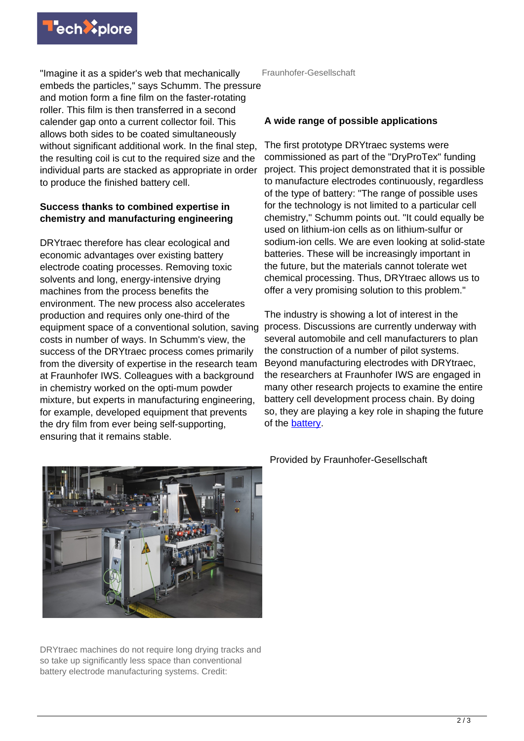

"Imagine it as a spider's web that mechanically embeds the particles," says Schumm. The pressure and motion form a fine film on the faster-rotating roller. This film is then transferred in a second calender gap onto a current collector foil. This allows both sides to be coated simultaneously without significant additional work. In the final step, the resulting coil is cut to the required size and the individual parts are stacked as appropriate in order to produce the finished battery cell.

## **Success thanks to combined expertise in chemistry and manufacturing engineering**

DRYtraec therefore has clear ecological and economic advantages over existing battery electrode coating processes. Removing toxic solvents and long, energy-intensive drying machines from the process benefits the environment. The new process also accelerates production and requires only one-third of the equipment space of a conventional solution, saving costs in number of ways. In Schumm's view, the success of the DRYtraec process comes primarily from the diversity of expertise in the research team at Fraunhofer IWS. Colleagues with a background in chemistry worked on the opti-mum powder mixture, but experts in manufacturing engineering, for example, developed equipment that prevents the dry film from ever being self-supporting, ensuring that it remains stable.

Fraunhofer-Gesellschaft

## **A wide range of possible applications**

The first prototype DRYtraec systems were commissioned as part of the "DryProTex" funding project. This project demonstrated that it is possible to manufacture electrodes continuously, regardless of the type of battery: "The range of possible uses for the technology is not limited to a particular cell chemistry," Schumm points out. "It could equally be used on lithium-ion cells as on lithium-sulfur or sodium-ion cells. We are even looking at solid-state batteries. These will be increasingly important in the future, but the materials cannot tolerate wet chemical processing. Thus, DRYtraec allows us to offer a very promising solution to this problem."

The industry is showing a lot of interest in the process. Discussions are currently underway with several automobile and cell manufacturers to plan the construction of a number of pilot systems. Beyond manufacturing electrodes with DRYtraec, the researchers at Fraunhofer IWS are engaged in many other research projects to examine the entire battery cell development process chain. By doing so, they are playing a key role in shaping the future of the [battery.](https://techxplore.com/tags/battery/)



DRYtraec machines do not require long drying tracks and so take up significantly less space than conventional battery electrode manufacturing systems. Credit:

Provided by Fraunhofer-Gesellschaft